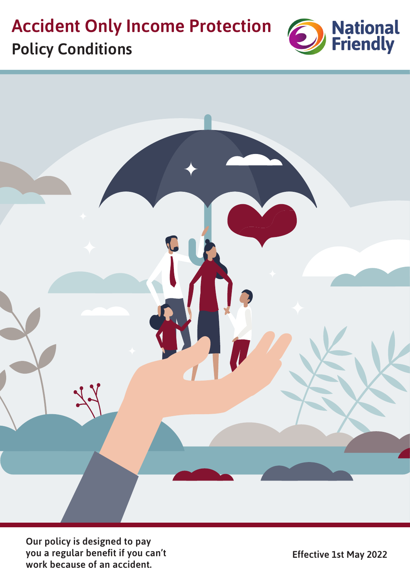# **Accident Only Income Protection** Policy Conditions





Our policy is designed to pay you a regular benefit if you can't work because of an accident.

Effective 1st May 2022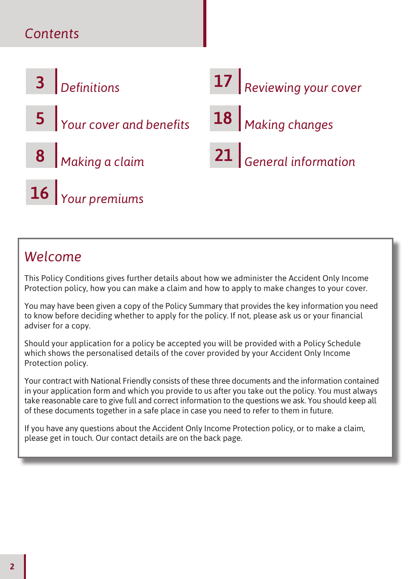# *Contents*



# *Welcome*

This Policy Conditions gives further details about how we administer the Accident Only Income Protection policy, how you can make a claim and how to apply to make changes to your cover.

You may have been given a copy of the Policy Summary that provides the key information you need to know before deciding whether to apply for the policy. If not, please ask us or your financial adviser for a copy.

Should your application for a policy be accepted you will be provided with a Policy Schedule which shows the personalised details of the cover provided by your Accident Only Income Protection policy.

Your contract with National Friendly consists of these three documents and the information contained in your application form and which you provide to us after you take out the policy. You must always take reasonable care to give full and correct information to the questions we ask. You should keep all of these documents together in a safe place in case you need to refer to them in future.

If you have any questions about the Accident Only Income Protection policy, or to make a claim, please get in touch. Our contact details are on the back page.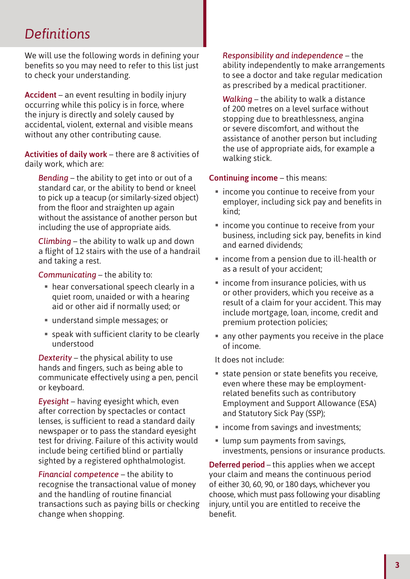# *Defi nitions*

We will use the following words in defining your benefits so you may need to refer to this list just to check your understanding.

Accident – an event resulting in bodily injury occurring while this policy is in force, where the injury is directly and solely caused by accidental, violent, external and visible means without any other contributing cause.

Activities of daily work – there are 8 activities of daily work, which are:

*Bending* – the ability to get into or out of a standard car, or the ability to bend or kneel to pick up a teacup (or similarly-sized object) from the floor and straighten up again without the assistance of another person but including the use of appropriate aids.

*Climbing* – the ability to walk up and down a flight of 12 stairs with the use of a handrail and taking a rest.

*Communicating* – the ability to:

- hear conversational speech clearly in a quiet room, unaided or with a hearing aid or other aid if normally used; or
- understand simple messages; or
- $\blacksquare$  speak with sufficient clarity to be clearly understood

*Dexterity* – the physical ability to use hands and fingers, such as being able to communicate effectively using a pen, pencil or keyboard.

*Eyesight* – having eyesight which, even after correction by spectacles or contact lenses, is sufficient to read a standard daily newspaper or to pass the standard eyesight test for driving. Failure of this activity would include being certified blind or partially sighted by a registered ophthalmologist.

*Financial competence* – the ability to recognise the transactional value of money and the handling of routine financial transactions such as paying bills or checking change when shopping.

*Responsibility and independence* – the ability independently to make arrangements to see a doctor and take regular medication as prescribed by a medical practitioner.

*Walking* – the ability to walk a distance of 200 metres on a level surface without stopping due to breathlessness, angina or severe discomfort, and without the assistance of another person but including the use of appropriate aids, for example a walking stick.

#### Continuing income – this means:

- **If** income you continue to receive from your employer, including sick pay and benefits in kind;
- **Example 20 I** income you continue to receive from your business, including sick pay, benefits in kind and earned dividends;
- income from a pension due to ill-health or as a result of your accident;
- $\blacksquare$  income from insurance policies, with us or other providers, which you receive as a result of a claim for your accident. This may include mortgage, loan, income, credit and premium protection policies;
- any other payments you receive in the place of income.
- It does not include:
- $\blacksquare$  state pension or state benefits you receive. even where these may be employmentrelated benefits such as contributory Employment and Support Allowance (ESA) and Statutory Sick Pay (SSP);
- **Income from savings and investments;**
- lump sum payments from savings, investments, pensions or insurance products.

Deferred period – this applies when we accept your claim and means the continuous period of either 30, 60, 90, or 180 days, whichever you choose, which must pass following your disabling injury, until you are entitled to receive the benefit.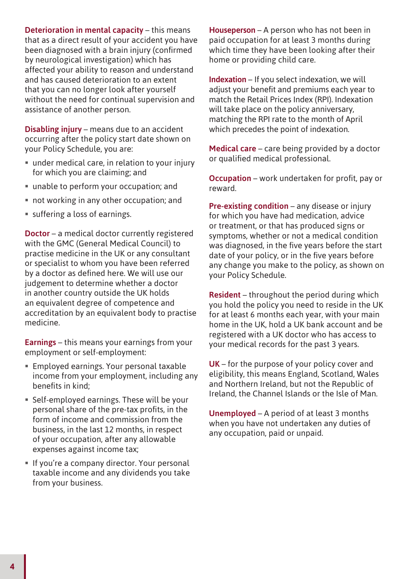Deterioration in mental capacity – this means that as a direct result of your accident you have been diagnosed with a brain injury (confirmed by neurological investigation) which has affected your ability to reason and understand and has caused deterioration to an extent that you can no longer look after yourself without the need for continual supervision and assistance of another person.

Disabling injury – means due to an accident occurring after the policy start date shown on your Policy Schedule, you are:

- under medical care, in relation to your injury for which you are claiming; and
- unable to perform your occupation; and
- not working in any other occupation; and
- $\blacksquare$  suffering a loss of earnings.

Doctor – a medical doctor currently registered with the GMC (General Medical Council) to practise medicine in the UK or any consultant or specialist to whom you have been referred by a doctor as defined here. We will use our judgement to determine whether a doctor in another country outside the UK holds an equivalent degree of competence and accreditation by an equivalent body to practise medicine.

Earnings – this means your earnings from your employment or self-employment:

- **Employed earnings. Your personal taxable** income from your employment, including any benefits in kind;
- Self-employed earnings. These will be your personal share of the pre-tax profits, in the form of income and commission from the business, in the last 12 months, in respect of your occupation, after any allowable expenses against income tax;
- If you're a company director. Your personal taxable income and any dividends you take from your business.

Houseperson – A person who has not been in paid occupation for at least 3 months during which time they have been looking after their home or providing child care.

Indexation – If you select indexation, we will adjust your benefit and premiums each year to match the Retail Prices Index (RPI). Indexation will take place on the policy anniversary, matching the RPI rate to the month of April which precedes the point of indexation.

Medical care – care being provided by a doctor or qualified medical professional.

Occupation – work undertaken for profit, pay or reward.

Pre-existing condition – any disease or injury for which you have had medication, advice or treatment, or that has produced signs or symptoms, whether or not a medical condition was diagnosed, in the five years before the start date of your policy, or in the five years before any change you make to the policy, as shown on your Policy Schedule.

Resident – throughout the period during which you hold the policy you need to reside in the UK for at least 6 months each year, with your main home in the UK, hold a UK bank account and be registered with a UK doctor who has access to your medical records for the past 3 years.

UK – for the purpose of your policy cover and eligibility, this means England, Scotland, Wales and Northern Ireland, but not the Republic of Ireland, the Channel Islands or the Isle of Man.

Unemployed – A period of at least 3 months when you have not undertaken any duties of any occupation, paid or unpaid.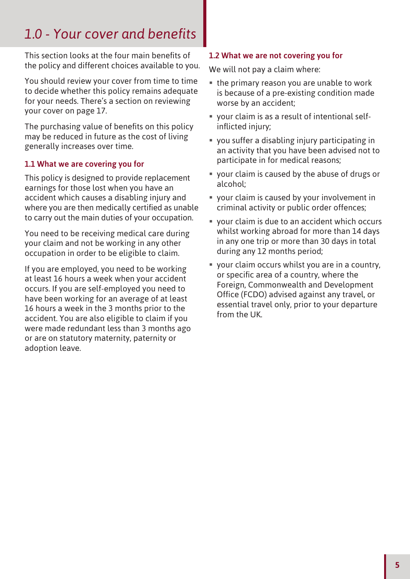# 1.0 - Your cover and benefits

This section looks at the four main benefits of the policy and different choices available to you.

You should review your cover from time to time to decide whether this policy remains adequate for your needs. There's a section on reviewing your cover on page 17.

The purchasing value of benefits on this policy may be reduced in future as the cost of living generally increases over time.

# 1.1 What we are covering you for

This policy is designed to provide replacement earnings for those lost when you have an accident which causes a disabling injury and where you are then medically certified as unable to carry out the main duties of your occupation.

You need to be receiving medical care during your claim and not be working in any other occupation in order to be eligible to claim.

If you are employed, you need to be working at least 16 hours a week when your accident occurs. If you are self-employed you need to have been working for an average of at least 16 hours a week in the 3 months prior to the accident. You are also eligible to claim if you were made redundant less than 3 months ago or are on statutory maternity, paternity or adoption leave.

### 1.2 What we are not covering you for

We will not pay a claim where:

- the primary reason you are unable to work is because of a pre-existing condition made worse by an accident;
- your claim is as a result of intentional selfinflicted injury;
- $\bullet$  you suffer a disabling injury participating in an activity that you have been advised not to participate in for medical reasons;
- your claim is caused by the abuse of drugs or alcohol;
- your claim is caused by your involvement in criminal activity or public order offences;
- your claim is due to an accident which occurs whilst working abroad for more than 14 days in any one trip or more than 30 days in total during any 12 months period;
- your claim occurs whilst you are in a country, or specific area of a country, where the Foreign, Commonwealth and Development Office (FCDO) advised against any travel, or essential travel only, prior to your departure from the UK.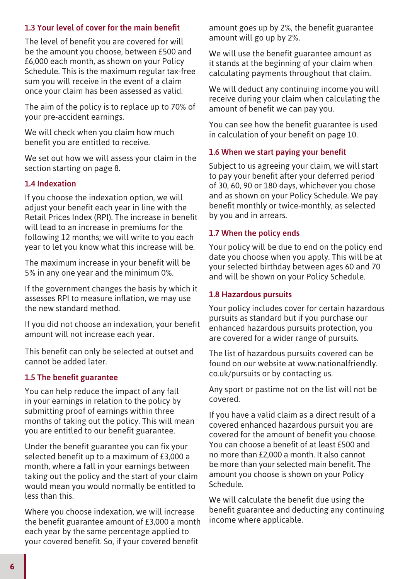# 1.3 Your level of cover for the main benefit

The level of benefit you are covered for will be the amount you choose, between £500 and £6,000 each month, as shown on your Policy Schedule. This is the maximum regular tax-free sum you will receive in the event of a claim once your claim has been assessed as valid.

The aim of the policy is to replace up to 70% of your pre-accident earnings.

We will check when you claim how much benefit you are entitled to receive.

We set out how we will assess your claim in the section starting on page 8.

### 1.4 Indexation

If you choose the indexation option, we will adjust your benefit each year in line with the Retail Prices Index (RPI). The increase in benefit will lead to an increase in premiums for the following 12 months; we will write to you each year to let you know what this increase will be.

The maximum increase in your benefit will be 5% in any one year and the minimum 0%.

If the government changes the basis by which it assesses RPI to measure inflation, we may use the new standard method.

If you did not choose an indexation, your benefit amount will not increase each year.

This benefit can only be selected at outset and cannot be added later.

### 1.5 The benefit guarantee

You can help reduce the impact of any fall in your earnings in relation to the policy by submitting proof of earnings within three months of taking out the policy. This will mean you are entitled to our benefit guarantee.

Under the benefit guarantee you can fix your selected benefit up to a maximum of £3,000 a month, where a fall in your earnings between taking out the policy and the start of your claim would mean you would normally be entitled to less than this.

Where you choose indexation, we will increase the benefit guarantee amount of  $E3,000$  a month each year by the same percentage applied to your covered benefit. So, if your covered benefit

amount goes up by 2%, the benefit guarantee amount will go up by 2%.

We will use the benefit guarantee amount as it stands at the beginning of your claim when calculating payments throughout that claim.

We will deduct any continuing income you will receive during your claim when calculating the amount of benefit we can pay you.

You can see how the benefit guarantee is used in calculation of your benefit on page 10.

#### 1.6 When we start paying your benefit

Subject to us agreeing your claim, we will start to pay your benefit after your deferred period of 30, 60, 90 or 180 days, whichever you chose and as shown on your Policy Schedule. We pay benefit monthly or twice-monthly, as selected by you and in arrears.

#### 1.7 When the policy ends

Your policy will be due to end on the policy end date you choose when you apply. This will be at your selected birthday between ages 60 and 70 and will be shown on your Policy Schedule.

### 1.8 Hazardous pursuits

Your policy includes cover for certain hazardous pursuits as standard but if you purchase our enhanced hazardous pursuits protection, you are covered for a wider range of pursuits.

The list of hazardous pursuits covered can be found on our website at www.nationalfriendly. co.uk/pursuits or by contacting us.

Any sport or pastime not on the list will not be covered.

If you have a valid claim as a direct result of a covered enhanced hazardous pursuit you are covered for the amount of benefit you choose. You can choose a benefit of at least £500 and no more than £2,000 a month. It also cannot be more than your selected main benefit. The amount you choose is shown on your Policy Schedule.

We will calculate the benefit due using the benefit guarantee and deducting any continuing income where applicable.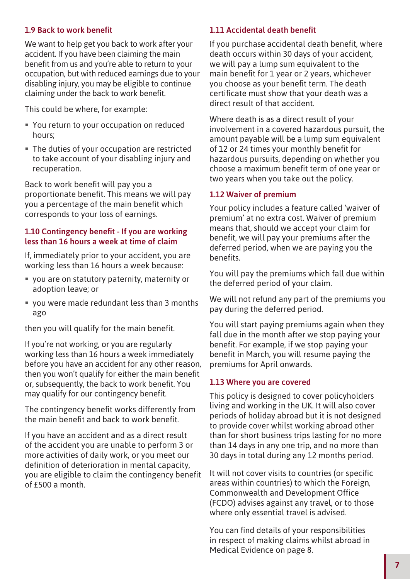### 1.9 Back to work benefit

We want to help get you back to work after your accident. If you have been claiming the main benefit from us and you're able to return to your occupation, but with reduced earnings due to your disabling injury, you may be eligible to continue claiming under the back to work benefit.

This could be where, for example:

- You return to your occupation on reduced hours;
- The duties of your occupation are restricted to take account of your disabling injury and recuperation.

Back to work benefit will pay you a proportionate benefit. This means we will pay you a percentage of the main benefit which corresponds to your loss of earnings.

#### 1.10 Contingency benefit - If you are working less than 16 hours a week at time of claim

If, immediately prior to your accident, you are working less than 16 hours a week because:

- you are on statutory paternity, maternity or adoption leave; or
- you were made redundant less than 3 months ago

then you will qualify for the main benefit.

If you're not working, or you are regularly working less than 16 hours a week immediately before you have an accident for any other reason, then you won't qualify for either the main benefit or, subsequently, the back to work benefit. You may qualify for our contingency benefit.

The contingency benefit works differently from the main benefit and back to work benefit.

If you have an accident and as a direct result of the accident you are unable to perform 3 or more activities of daily work, or you meet our definition of deterioration in mental capacity. you are eligible to claim the contingency benefit of  $f500$  a month.

#### 1.11 Accidental death benefit

If you purchase accidental death benefit, where death occurs within 30 days of your accident, we will pay a lump sum equivalent to the main benefit for  $1$  year or  $2$  years, whichever you choose as your benefit term. The death certificate must show that your death was a direct result of that accident.

Where death is as a direct result of your involvement in a covered hazardous pursuit, the amount payable will be a lump sum equivalent of 12 or 24 times your monthly benefit for hazardous pursuits, depending on whether you choose a maximum benefit term of one year or two years when you take out the policy.

#### 1.12 Waiver of premium

Your policy includes a feature called 'waiver of premium' at no extra cost. Waiver of premium means that, should we accept your claim for benefit, we will pay your premiums after the deferred period, when we are paying you the benefits.

You will pay the premiums which fall due within the deferred period of your claim.

We will not refund any part of the premiums you pay during the deferred period.

You will start paying premiums again when they fall due in the month after we stop paying your benefit. For example, if we stop paying your benefit in March, you will resume paying the premiums for April onwards.

#### 1.13 Where you are covered

This policy is designed to cover policyholders living and working in the UK. It will also cover periods of holiday abroad but it is not designed to provide cover whilst working abroad other than for short business trips lasting for no more than 14 days in any one trip, and no more than 30 days in total during any 12 months period.

It will not cover visits to countries (or specific areas within countries) to which the Foreign, Commonwealth and Development Office (FCDO) advises against any travel, or to those where only essential travel is advised.

You can find details of your responsibilities in respect of making claims whilst abroad in Medical Evidence on page 8.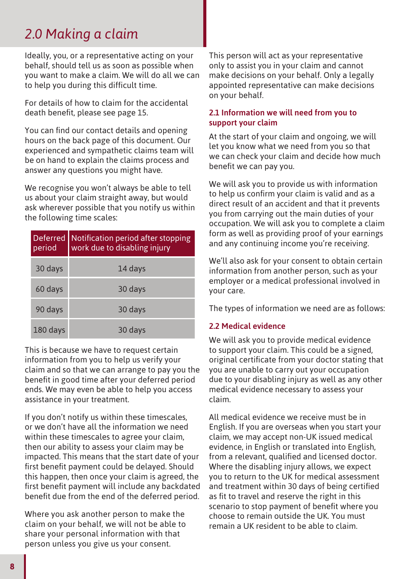# *2.0 Making a claim*

Ideally, you, or a representative acting on your behalf, should tell us as soon as possible when you want to make a claim. We will do all we can to help you during this difficult time.

For details of how to claim for the accidental death benefit, please see page 15.

You can find our contact details and opening hours on the back page of this document. Our experienced and sympathetic claims team will be on hand to explain the claims process and answer any questions you might have.

We recognise you won't always be able to tell us about your claim straight away, but would ask wherever possible that you notify us within the following time scales:

| <b>Deferred</b><br>period | Notification period after stopping<br>work due to disabling injury |  |  |  |
|---------------------------|--------------------------------------------------------------------|--|--|--|
| 30 days                   | 14 days                                                            |  |  |  |
| 60 days                   | 30 days                                                            |  |  |  |
| 90 days                   | 30 days                                                            |  |  |  |
| 180 days                  | 30 days                                                            |  |  |  |

This is because we have to request certain information from you to help us verify your claim and so that we can arrange to pay you the benefit in good time after your deferred period ends. We may even be able to help you access assistance in your treatment.

If you don't notify us within these timescales, or we don't have all the information we need within these timescales to agree your claim, then our ability to assess your claim may be impacted. This means that the start date of your first benefit payment could be delayed. Should this happen, then once your claim is agreed, the first benefit payment will include any backdated benefit due from the end of the deferred period.

Where you ask another person to make the claim on your behalf, we will not be able to share your personal information with that person unless you give us your consent.

This person will act as your representative only to assist you in your claim and cannot make decisions on your behalf. Only a legally appointed representative can make decisions on your behalf.

### 2.1 Information we will need from you to support your claim

At the start of your claim and ongoing, we will let you know what we need from you so that we can check your claim and decide how much benefit we can pay you.

We will ask you to provide us with information to help us confirm your claim is valid and as a direct result of an accident and that it prevents you from carrying out the main duties of your occupation. We will ask you to complete a claim form as well as providing proof of your earnings and any continuing income you're receiving.

We'll also ask for your consent to obtain certain information from another person, such as your employer or a medical professional involved in your care.

The types of information we need are as follows:

#### 2.2 Medical evidence

We will ask you to provide medical evidence to support your claim. This could be a signed, original certificate from your doctor stating that you are unable to carry out your occupation due to your disabling injury as well as any other medical evidence necessary to assess your claim.

All medical evidence we receive must be in English. If you are overseas when you start your claim, we may accept non-UK issued medical evidence, in English or translated into English, from a relevant, qualified and licensed doctor. Where the disabling injury allows, we expect you to return to the UK for medical assessment and treatment within 30 days of being certified as fit to travel and reserve the right in this scenario to stop payment of benefit where you choose to remain outside the UK. You must remain a UK resident to be able to claim.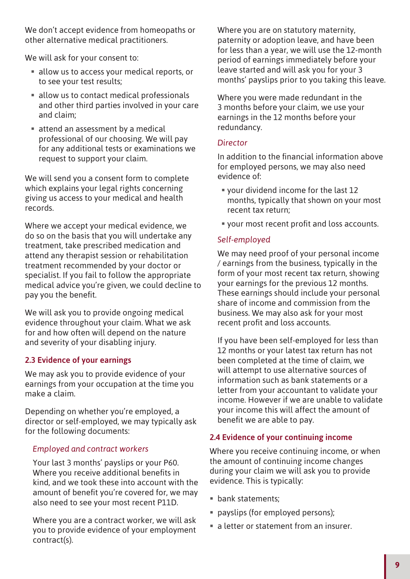We don't accept evidence from homeopaths or other alternative medical practitioners.

We will ask for your consent to:

- allow us to access your medical reports, or to see your test results;
- allow us to contact medical professionals and other third parties involved in your care and claim;
- attend an assessment by a medical professional of our choosing. We will pay for any additional tests or examinations we request to support your claim.

We will send you a consent form to complete which explains your legal rights concerning giving us access to your medical and health records.

Where we accept your medical evidence, we do so on the basis that you will undertake any treatment, take prescribed medication and attend any therapist session or rehabilitation treatment recommended by your doctor or specialist. If you fail to follow the appropriate medical advice you're given, we could decline to pay you the benefit.

We will ask you to provide ongoing medical evidence throughout your claim. What we ask for and how often will depend on the nature and severity of your disabling injury.

# 2.3 Evidence of your earnings

We may ask you to provide evidence of your earnings from your occupation at the time you make a claim.

Depending on whether you're employed, a director or self-employed, we may typically ask for the following documents:

### *Employed and contract workers*

Your last 3 months' payslips or your P60. Where you receive additional benefits in kind, and we took these into account with the amount of benefit you're covered for, we may also need to see your most recent P11D.

Where you are a contract worker, we will ask you to provide evidence of your employment contract(s).

Where you are on statutory maternity, paternity or adoption leave, and have been for less than a year, we will use the 12-month period of earnings immediately before your leave started and will ask you for your 3 months' payslips prior to you taking this leave.

Where you were made redundant in the 3 months before your claim, we use your earnings in the 12 months before your redundancy.

### *Director*

In addition to the financial information above for employed persons, we may also need evidence of:

- your dividend income for the last 12 months, typically that shown on your most recent tax return;
- " your most recent profit and loss accounts.

# *Self-employed*

We may need proof of your personal income / earnings from the business, typically in the form of your most recent tax return, showing your earnings for the previous 12 months. These earnings should include your personal share of income and commission from the business. We may also ask for your most recent profit and loss accounts.

If you have been self-employed for less than 12 months or your latest tax return has not been completed at the time of claim, we will attempt to use alternative sources of information such as bank statements or a letter from your accountant to validate your income. However if we are unable to validate your income this will affect the amount of benefit we are able to pay.

# 2.4 Evidence of your continuing income

Where you receive continuing income, or when the amount of continuing income changes during your claim we will ask you to provide evidence. This is typically:

- bank statements;
- payslips (for employed persons);
- a letter or statement from an insurer.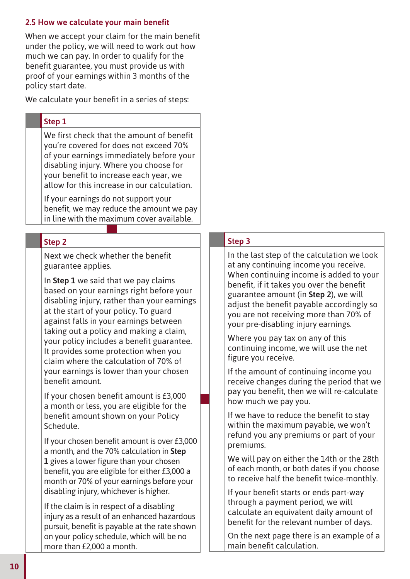# 2.5 How we calculate your main benefit

When we accept your claim for the main benefit under the policy, we will need to work out how much we can pay. In order to qualify for the benefit guarantee, you must provide us with proof of your earnings within 3 months of the policy start date.

We calculate your benefit in a series of steps:

# Step 1

We first check that the amount of benefit you're covered for does not exceed 70% of your earnings immediately before your disabling injury. Where you choose for your benefit to increase each year, we allow for this increase in our calculation.

If your earnings do not support your benefit, we may reduce the amount we pay in line with the maximum cover available.

# Step 2

Next we check whether the benefit guarantee applies.

In **Step 1** we said that we pay claims based on your earnings right before your disabling injury, rather than your earnings at the start of your policy. To guard against falls in your earnings between taking out a policy and making a claim, your policy includes a benefit guarantee. It provides some protection when you claim where the calculation of 70% of your earnings is lower than your chosen benefit amount.

If your chosen benefit amount is £3,000 a month or less, you are eligible for the benefit amount shown on your Policy Schedule.

If your chosen benefit amount is over £3,000 a month, and the 70% calculation in **Step 1** gives a lower figure than your chosen benefit, you are eligible for either £3,000 a month or 70% of your earnings before your disabling injury, whichever is higher.

If the claim is in respect of a disabling injury as a result of an enhanced hazardous pursuit, benefit is payable at the rate shown on your policy schedule, which will be no more than £2,000 a month.

# Step 3

In the last step of the calculation we look at any continuing income you receive. When continuing income is added to your benefit, if it takes you over the benefit guarantee amount (in **Step 2**), we will adjust the benefit payable accordingly so you are not receiving more than 70% of your pre-disabling injury earnings.

Where you pay tax on any of this continuing income, we will use the net figure you receive.

If the amount of continuing income you receive changes during the period that we pay you benefit, then we will re-calculate how much we pay you.

If we have to reduce the benefit to stay within the maximum payable, we won't refund you any premiums or part of your premiums.

We will pay on either the 14th or the 28th of each month, or both dates if you choose to receive half the benefit twice-monthly.

If your benefit starts or ends part-way through a payment period, we will calculate an equivalent daily amount of benefit for the relevant number of days.

On the next page there is an example of a main benefit calculation.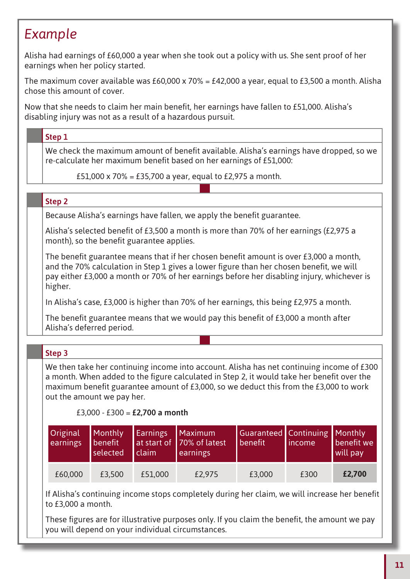# *Example*

Alisha had earnings of £60,000 a year when she took out a policy with us. She sent proof of her earnings when her policy started.

The maximum cover available was £60,000 x 70% = £42,000 a year, equal to £3,500 a month. Alisha chose this amount of cover.

Now that she needs to claim her main benefit, her earnings have fallen to £51,000. Alisha's disabling injury was not as a result of a hazardous pursuit.

# Step 1

We check the maximum amount of benefit available. Alisha's earnings have dropped, so we re-calculate her maximum benefit based on her earnings of £51,000:

£51,000 x 70% = £35,700 a year, equal to £2,975 a month.

### Step 2

Because Alisha's earnings have fallen, we apply the benefit guarantee.

Alisha's selected benefit of £3,500 a month is more than 70% of her earnings (£2,975 a month), so the benefit guarantee applies.

The benefit guarantee means that if her chosen benefit amount is over  $£3,000$  a month, and the 70% calculation in Step 1 gives a lower figure than her chosen benefit, we will pay either £3,000 a month or 70% of her earnings before her disabling injury, whichever is higher.

In Alisha's case, £3,000 is higher than 70% of her earnings, this being £2,975 a month.

The benefit guarantee means that we would pay this benefit of  $E3,000$  a month after Alisha's deferred period.

| Step 3                     |                                       |                                |                                                                                                                                                                                                                                                                                  |                                         |         |                                   |  |
|----------------------------|---------------------------------------|--------------------------------|----------------------------------------------------------------------------------------------------------------------------------------------------------------------------------------------------------------------------------------------------------------------------------|-----------------------------------------|---------|-----------------------------------|--|
| out the amount we pay her. |                                       | £3,000 - £300 = £2,700 a month | We then take her continuing income into account. Alisha has net continuing income of £300<br>a month. When added to the figure calculated in Step 2, it would take her benefit over the<br>maximum benefit guarantee amount of £3,000, so we deduct this from the £3,000 to work |                                         |         |                                   |  |
| Original<br>earnings       | <b>Monthly</b><br>benefit<br>selected | <b>Earnings</b><br>claim       | Maximum<br>at start of 70% of latest<br>earnings                                                                                                                                                                                                                                 | <b>Guaranteed</b> Continuing<br>benefit | income. | Monthly<br>benefit we<br>will pay |  |
| £60,000                    | £3,500                                | £51,000                        | £2,975                                                                                                                                                                                                                                                                           | £3,000                                  | £300    | £2,700                            |  |

If Alisha's continuing income stops completely during her claim, we will increase her benefit to £3,000 a month.

These figures are for illustrative purposes only. If you claim the benefit, the amount we pay you will depend on your individual circumstances.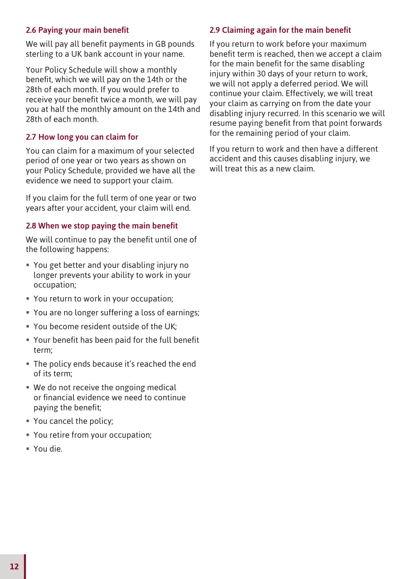# 2.6 Paying your main benefit

We will pay all benefit payments in GB pounds sterling to a UK bank account in your name.

Your Policy Schedule will show a monthly benefit, which we will pay on the 14th or the 28th of each month. If you would prefer to receive your benefit twice a month, we will pay you at half the monthly amount on the 14th and 28th of each month.

### 2.7 How long you can claim for

You can claim for a maximum of your selected period of one year or two years as shown on your Policy Schedule, provided we have all the evidence we need to support your claim.

If you claim for the full term of one year or two years after your accident, your claim will end.

# 2.8 When we stop paying the main benefit

We will continue to pay the benefit until one of the following happens:

- You get better and your disabling injury no longer prevents your ability to work in your occupation;
- You return to work in your occupation;
- " You are no longer suffering a loss of earnings;
- You become resident outside of the UK;
- Your benefit has been paid for the full benefit term;
- **The policy ends because it's reached the end** of its term;
- We do not receive the ongoing medical or financial evidence we need to continue paying the benefit:
- You cancel the policy;
- You retire from your occupation;
- You die.

# 2.9 Claiming again for the main benefit

If you return to work before your maximum benefit term is reached, then we accept a claim for the main benefit for the same disabling injury within 30 days of your return to work, we will not apply a deferred period. We will continue your claim. Effectively, we will treat your claim as carrying on from the date your disabling injury recurred. In this scenario we will resume paying benefit from that point forwards for the remaining period of your claim.

If you return to work and then have a different accident and this causes disabling injury, we will treat this as a new claim.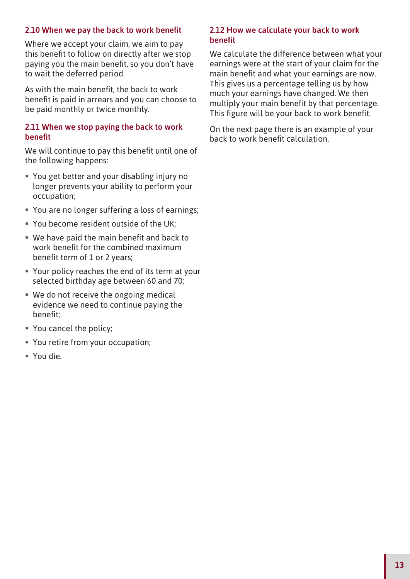### 2.10 When we pay the back to work benefit

Where we accept your claim, we aim to pay this benefit to follow on directly after we stop paying you the main benefit, so you don't have to wait the deferred period.

As with the main benefit, the back to work benefit is paid in arrears and you can choose to be paid monthly or twice monthly.

#### 2.11 When we stop paying the back to work **benefit**

We will continue to pay this benefit until one of the following happens:

- You get better and your disabling injury no longer prevents your ability to perform your occupation;
- " You are no longer suffering a loss of earnings;
- You become resident outside of the UK;
- $\blacksquare$  We have paid the main benefit and back to work benefit for the combined maximum benefit term of  $1$  or  $2$  years;
- Your policy reaches the end of its term at your selected birthday age between 60 and 70;
- We do not receive the ongoing medical evidence we need to continue paying the benefit:
- You cancel the policy;
- You retire from your occupation;
- You die.

#### 2.12 How we calculate your back to work **benefit**

We calculate the difference between what your earnings were at the start of your claim for the main benefit and what your earnings are now. This gives us a percentage telling us by how much your earnings have changed. We then multiply your main benefit by that percentage. This figure will be your back to work benefit.

On the next page there is an example of your back to work benefit calculation.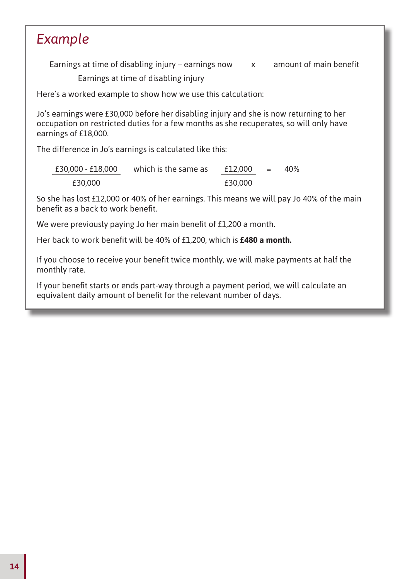# *Example*

Earnings at time of disabling injury – earnings now  $x$  amount of main benefit

Earnings at time of disabling injury

Here's a worked example to show how we use this calculation:

Jo's earnings were £30,000 before her disabling injury and she is now returning to her occupation on restricted duties for a few months as she recuperates, so will only have earnings of £18,000.

The difference in Jo's earnings is calculated like this:

| £30,000 - £18,000 | which is the same as | £12,000 | $=$ | 40% |
|-------------------|----------------------|---------|-----|-----|
| £30,000           |                      | £30,000 |     |     |

So she has lost £12,000 or 40% of her earnings. This means we will pay Jo 40% of the main benefit as a back to work benefit.

We were previously paying Jo her main benefit of £1,200 a month.

Her back to work benefit will be 40% of £1,200, which is £480 a month.

If you choose to receive your benefit twice monthly, we will make payments at half the monthly rate.

If your benefit starts or ends part-way through a payment period, we will calculate an equivalent daily amount of benefit for the relevant number of days.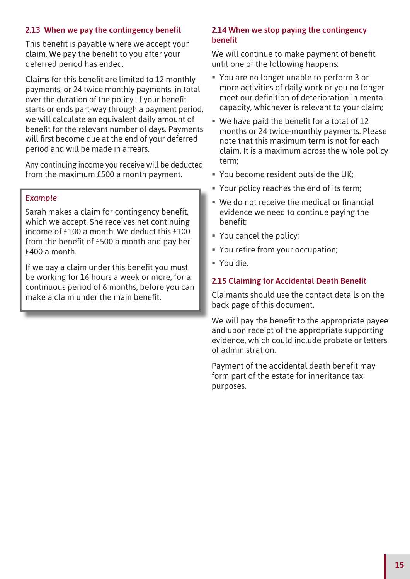# 2.13 When we pay the contingency benefit

This benefit is payable where we accept your claim. We pay the benefit to you after your deferred period has ended.

Claims for this benefit are limited to 12 monthly payments, or 24 twice monthly payments, in total over the duration of the policy. If your benefit starts or ends part-way through a payment period, we will calculate an equivalent daily amount of benefit for the relevant number of days. Payments will first become due at the end of your deferred period and will be made in arrears.

Any continuing income you receive will be deducted from the maximum £500 a month payment.

#### *Example*

Sarah makes a claim for contingency benefit, which we accept. She receives net continuing income of £100 a month. We deduct this £100 from the benefit of £500 a month and pay her £400 a month.

If we pay a claim under this benefit you must be working for 16 hours a week or more, for a continuous period of 6 months, before you can make a claim under the main benefit.

### 2.14 When we stop paying the contingency **benefit**

We will continue to make payment of benefit until one of the following happens:

- You are no longer unable to perform 3 or more activities of daily work or you no longer meet our definition of deterioration in mental capacity, whichever is relevant to your claim;
- $\blacksquare$  We have paid the benefit for a total of 12 months or 24 twice-monthly payments. Please note that this maximum term is not for each claim. It is a maximum across the whole policy term;
- You become resident outside the UK;
- Your policy reaches the end of its term;
- $\blacksquare$  We do not receive the medical or financial evidence we need to continue paying the benefit;
- You cancel the policy;
- You retire from your occupation;
- You die.

### 2.15 Claiming for Accidental Death Benefit

Claimants should use the contact details on the back page of this document.

We will pay the benefit to the appropriate payee and upon receipt of the appropriate supporting evidence, which could include probate or letters of administration.

Payment of the accidental death benefit may form part of the estate for inheritance tax purposes.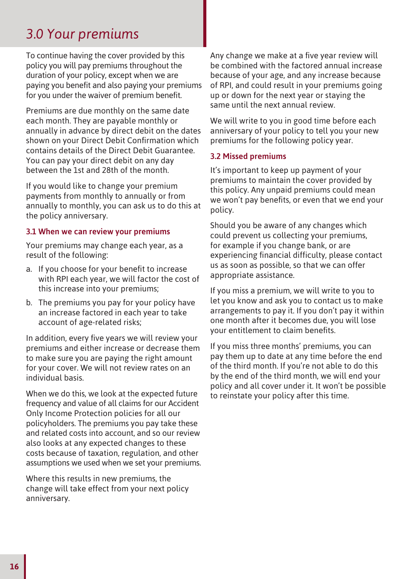# *3.0 Your premiums*

To continue having the cover provided by this policy you will pay premiums throughout the duration of your policy, except when we are paying you benefit and also paying your premiums for you under the waiver of premium benefit.

Premiums are due monthly on the same date each month. They are payable monthly or annually in advance by direct debit on the dates shown on your Direct Debit Confirmation which contains details of the Direct Debit Guarantee. You can pay your direct debit on any day between the 1st and 28th of the month.

If you would like to change your premium payments from monthly to annually or from annually to monthly, you can ask us to do this at the policy anniversary.

# 3.1 When we can review your premiums

Your premiums may change each year, as a result of the following:

- a. If you choose for your benefit to increase with RPI each year, we will factor the cost of this increase into your premiums;
- b. The premiums you pay for your policy have an increase factored in each year to take account of age-related risks;

In addition, every five years we will review your premiums and either increase or decrease them to make sure you are paying the right amount for your cover. We will not review rates on an individual basis.

When we do this, we look at the expected future frequency and value of all claims for our Accident Only Income Protection policies for all our policyholders. The premiums you pay take these and related costs into account, and so our review also looks at any expected changes to these costs because of taxation, regulation, and other assumptions we used when we set your premiums.

Where this results in new premiums, the change will take effect from your next policy anniversary.

Any change we make at a five year review will be combined with the factored annual increase because of your age, and any increase because of RPI, and could result in your premiums going up or down for the next year or staying the same until the next annual review.

We will write to you in good time before each anniversary of your policy to tell you your new premiums for the following policy year.

### 3.2 Missed premiums

It's important to keep up payment of your premiums to maintain the cover provided by this policy. Any unpaid premiums could mean we won't pay benefits, or even that we end your policy.

Should you be aware of any changes which could prevent us collecting your premiums, for example if you change bank, or are experiencing financial difficulty, please contact us as soon as possible, so that we can offer appropriate assistance.

If you miss a premium, we will write to you to let you know and ask you to contact us to make arrangements to pay it. If you don't pay it within one month after it becomes due, you will lose your entitlement to claim benefits.

If you miss three months' premiums, you can pay them up to date at any time before the end of the third month. If you're not able to do this by the end of the third month, we will end your policy and all cover under it. It won't be possible to reinstate your policy after this time.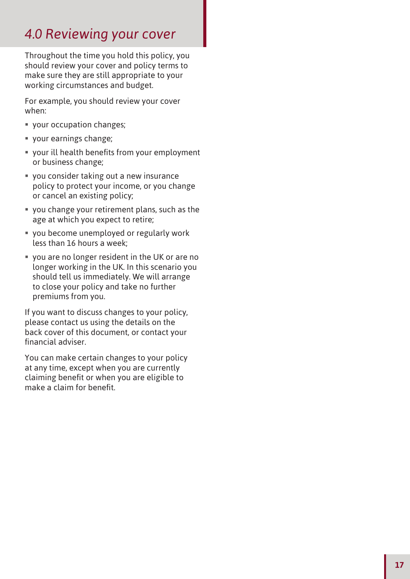# *4.0 Reviewing your cover*

Throughout the time you hold this policy, you should review your cover and policy terms to make sure they are still appropriate to your working circumstances and budget.

For example, you should review your cover when:

- your occupation changes;
- your earnings change;
- $\blacksquare$  your ill health benefits from your employment or business change;
- you consider taking out a new insurance policy to protect your income, or you change or cancel an existing policy;
- you change your retirement plans, such as the age at which you expect to retire;
- you become unemployed or regularly work less than 16 hours a week;
- you are no longer resident in the UK or are no longer working in the UK. In this scenario you should tell us immediately. We will arrange to close your policy and take no further premiums from you.

If you want to discuss changes to your policy, please contact us using the details on the back cover of this document, or contact your financial adviser.

You can make certain changes to your policy at any time, except when you are currently claiming benefit or when you are eligible to make a claim for benefit.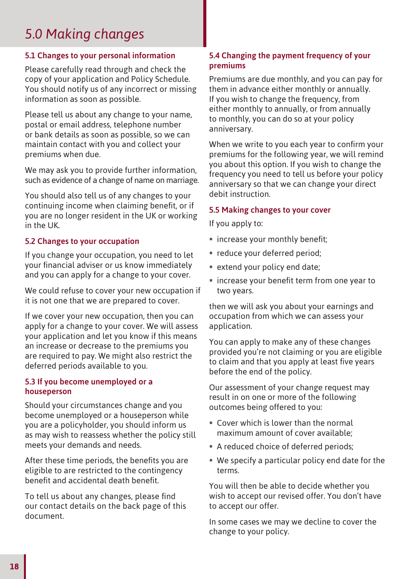# *5.0 Making changes*

# 5.1 Changes to your personal information

Please carefully read through and check the copy of your application and Policy Schedule. You should notify us of any incorrect or missing information as soon as possible.

Please tell us about any change to your name, postal or email address, telephone number or bank details as soon as possible, so we can maintain contact with you and collect your premiums when due.

We may ask you to provide further information, such as evidence of a change of name on marriage.

You should also tell us of any changes to your continuing income when claiming benefit, or if you are no longer resident in the UK or working in the UK.

### 5.2 Changes to your occupation

If you change your occupation, you need to let your financial adviser or us know immediately and you can apply for a change to your cover.

We could refuse to cover your new occupation if it is not one that we are prepared to cover.

If we cover your new occupation, then you can apply for a change to your cover. We will assess your application and let you know if this means an increase or decrease to the premiums you are required to pay. We might also restrict the deferred periods available to you.

#### 5.3 If you become unemployed or a houseperson

Should your circumstances change and you become unemployed or a houseperson while you are a policyholder, you should inform us as may wish to reassess whether the policy still meets your demands and needs.

After these time periods, the benefits you are eligible to are restricted to the contingency benefit and accidental death benefit.

To tell us about any changes, please find our contact details on the back page of this document.

# 5.4 Changing the payment frequency of your premiums

Premiums are due monthly, and you can pay for them in advance either monthly or annually. If you wish to change the frequency, from either monthly to annually, or from annually to monthly, you can do so at your policy anniversary.

When we write to you each year to confirm your premiums for the following year, we will remind you about this option. If you wish to change the frequency you need to tell us before your policy anniversary so that we can change your direct debit instruction.

#### 5.5 Making changes to your cover

If you apply to:

- $\blacksquare$  increase your monthly benefit;
- **•** reduce your deferred period;
- **Extend your policy end date;**
- $\blacksquare$  increase your benefit term from one year to two years.

then we will ask you about your earnings and occupation from which we can assess your application.

You can apply to make any of these changes provided you're not claiming or you are eligible to claim and that you apply at least five years before the end of the policy.

Our assessment of your change request may result in on one or more of the following outcomes being offered to you:

- Cover which is lower than the normal maximum amount of cover available;
- A reduced choice of deferred periods;
- We specify a particular policy end date for the terms.

You will then be able to decide whether you wish to accept our revised offer. You don't have to accept our offer.

In some cases we may we decline to cover the change to your policy.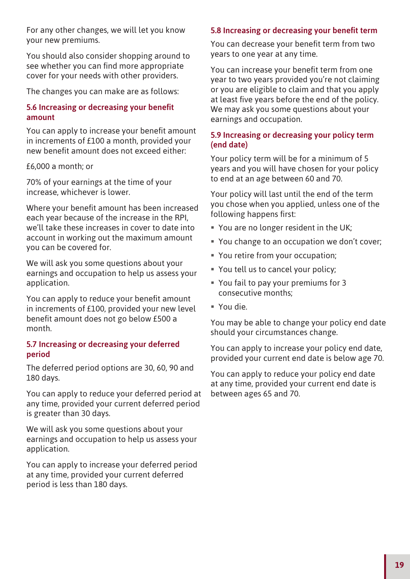For any other changes, we will let you know your new premiums.

You should also consider shopping around to see whether you can find more appropriate cover for your needs with other providers.

The changes you can make are as follows:

#### 5.6 Increasing or decreasing your benefit amount

You can apply to increase your benefit amount in increments of £100 a month, provided your new benefit amount does not exceed either:

£6,000 a month; or

70% of your earnings at the time of your increase, whichever is lower.

Where your benefit amount has been increased each year because of the increase in the RPI, we'll take these increases in cover to date into account in working out the maximum amount you can be covered for.

We will ask you some questions about your earnings and occupation to help us assess your application.

You can apply to reduce your benefit amount in increments of £100, provided your new level benefit amount does not go below £500 a month.

#### 5.7 Increasing or decreasing your deferred period

The deferred period options are 30, 60, 90 and 180 days.

You can apply to reduce your deferred period at any time, provided your current deferred period is greater than 30 days.

We will ask you some questions about your earnings and occupation to help us assess your application.

You can apply to increase your deferred period at any time, provided your current deferred period is less than 180 days.

### 5.8 Increasing or decreasing your benefit term

You can decrease your benefit term from two years to one year at any time.

You can increase your benefit term from one year to two years provided you're not claiming or you are eligible to claim and that you apply at least five years before the end of the policy. We may ask you some questions about your earnings and occupation.

#### 5.9 Increasing or decreasing your policy term (end date)

Your policy term will be for a minimum of 5 years and you will have chosen for your policy to end at an age between 60 and 70.

Your policy will last until the end of the term you chose when you applied, unless one of the following happens first:

- You are no longer resident in the UK;
- You change to an occupation we don't cover;
- You retire from your occupation;
- You tell us to cancel your policy;
- You fail to pay your premiums for 3 consecutive months;
- You die.

You may be able to change your policy end date should your circumstances change.

You can apply to increase your policy end date, provided your current end date is below age 70.

You can apply to reduce your policy end date at any time, provided your current end date is between ages 65 and 70.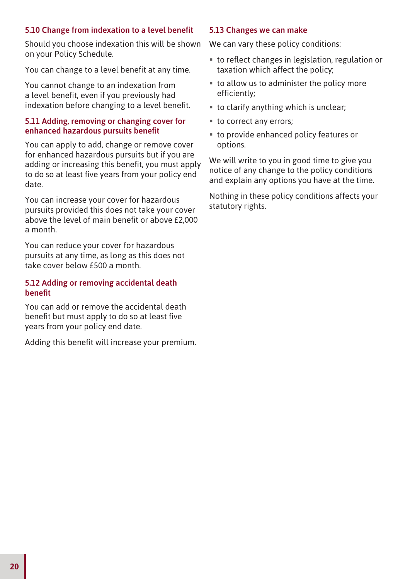# 5.10 Change from indexation to a level benefit

Should you choose indexation this will be shown on your Policy Schedule.

You can change to a level benefit at any time.

You cannot change to an indexation from a level benefit, even if you previously had indexation before changing to a level benefit.

#### 5.11 Adding, removing or changing cover for enhanced hazardous pursuits benefit

You can apply to add, change or remove cover for enhanced hazardous pursuits but if you are adding or increasing this benefit, you must apply to do so at least five years from your policy end date.

You can increase your cover for hazardous pursuits provided this does not take your cover above the level of main benefit or above £2,000 a month.

You can reduce your cover for hazardous pursuits at any time, as long as this does not take cover below £500 a month.

#### 5.12 Adding or removing accidental death **benefit**

You can add or remove the accidental death benefit but must apply to do so at least five years from your policy end date.

Adding this benefit will increase your premium.

#### 5.13 Changes we can make

We can vary these policy conditions:

- $\blacksquare$  to reflect changes in legislation, regulation or taxation which affect the policy;
- to allow us to administer the policy more efficiently;
- to clarify anything which is unclear;
- to correct any errors;
- to provide enhanced policy features or options.

We will write to you in good time to give you notice of any change to the policy conditions and explain any options you have at the time.

Nothing in these policy conditions affects your statutory rights.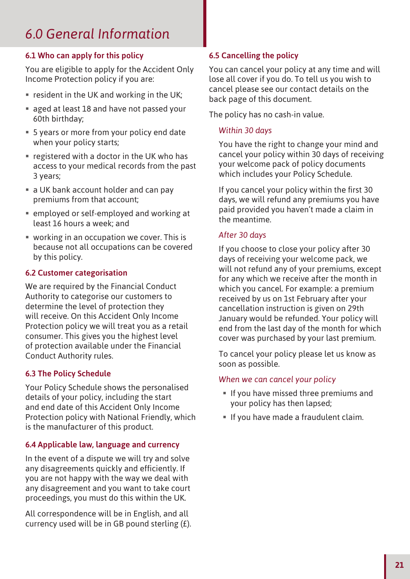# *6.0 General Information*

# 6.1 Who can apply for this policy

You are eligible to apply for the Accident Only Income Protection policy if you are:

- **F** resident in the UK and working in the UK;
- aged at least 18 and have not passed your 60th birthday;
- 5 years or more from your policy end date when your policy starts;
- registered with a doctor in the UK who has access to your medical records from the past 3 years;
- a UK bank account holder and can pay premiums from that account;
- employed or self-employed and working at least 16 hours a week; and
- working in an occupation we cover. This is because not all occupations can be covered by this policy.

# 6.2 Customer categorisation

We are required by the Financial Conduct Authority to categorise our customers to determine the level of protection they will receive. On this Accident Only Income Protection policy we will treat you as a retail consumer. This gives you the highest level of protection available under the Financial Conduct Authority rules.

# 6.3 The Policy Schedule

Your Policy Schedule shows the personalised details of your policy, including the start and end date of this Accident Only Income Protection policy with National Friendly, which is the manufacturer of this product.

# 6.4 Applicable law, language and currency

In the event of a dispute we will try and solve any disagreements quickly and efficiently. If you are not happy with the way we deal with any disagreement and you want to take court proceedings, you must do this within the UK.

All correspondence will be in English, and all currency used will be in GB pound sterling (£).

# 6.5 Cancelling the policy

You can cancel your policy at any time and will lose all cover if you do. To tell us you wish to cancel please see our contact details on the back page of this document.

The policy has no cash-in value.

# *Within 30 days*

You have the right to change your mind and cancel your policy within 30 days of receiving your welcome pack of policy documents which includes your Policy Schedule.

If you cancel your policy within the first 30 days, we will refund any premiums you have paid provided you haven't made a claim in the meantime.

# *After 30 days*

If you choose to close your policy after 30 days of receiving your welcome pack, we will not refund any of your premiums, except for any which we receive after the month in which you cancel. For example: a premium received by us on 1st February after your cancellation instruction is given on 29th January would be refunded. Your policy will end from the last day of the month for which cover was purchased by your last premium.

To cancel your policy please let us know as soon as possible.

### *When we can cancel your policy*

- If you have missed three premiums and your policy has then lapsed;
- If you have made a fraudulent claim.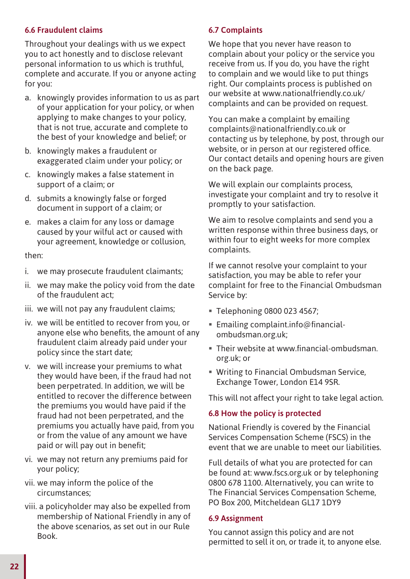# 6.6 Fraudulent claims

Throughout your dealings with us we expect you to act honestly and to disclose relevant personal information to us which is truthful, complete and accurate. If you or anyone acting for you:

- a. knowingly provides information to us as part of your application for your policy, or when applying to make changes to your policy, that is not true, accurate and complete to the best of your knowledge and belief; or
- b. knowingly makes a fraudulent or exaggerated claim under your policy; or
- c. knowingly makes a false statement in support of a claim; or
- d. submits a knowingly false or forged document in support of a claim; or
- e. makes a claim for any loss or damage caused by your wilful act or caused with your agreement, knowledge or collusion,

#### then:

- i. we may prosecute fraudulent claimants;
- ii. we may make the policy void from the date of the fraudulent act;
- iii. we will not pay any fraudulent claims;
- iv. we will be entitled to recover from you, or anyone else who benefits, the amount of any fraudulent claim already paid under your policy since the start date;
- v. we will increase your premiums to what they would have been, if the fraud had not been perpetrated. In addition, we will be entitled to recover the difference between the premiums you would have paid if the fraud had not been perpetrated, and the premiums you actually have paid, from you or from the value of any amount we have paid or will pay out in benefit;
- vi. we may not return any premiums paid for your policy;
- vii. we may inform the police of the circumstances;
- viii.a policyholder may also be expelled from membership of National Friendly in any of the above scenarios, as set out in our Rule Book.

### 6.7 Complaints

We hope that you never have reason to complain about your policy or the service you receive from us. If you do, you have the right to complain and we would like to put things right. Our complaints process is published on our website at www.nationalfriendly.co.uk/ complaints and can be provided on request.

You can make a complaint by emailing complaints@nationalfriendly.co.uk or contacting us by telephone, by post, through our website, or in person at our registered office. Our contact details and opening hours are given on the back page.

We will explain our complaints process. investigate your complaint and try to resolve it promptly to your satisfaction.

We aim to resolve complaints and send you a written response within three business days, or within four to eight weeks for more complex complaints.

If we cannot resolve your complaint to your satisfaction, you may be able to refer your complaint for free to the Financial Ombudsman Service by:

- Telephoning 0800 023 4567;
- Emailing complaint.info@financialombudsman.org.uk;
- **Their website at www.financial-ombudsman.** org.uk; or
- Writing to Financial Ombudsman Service, Exchange Tower, London E14 9SR.

This will not affect your right to take legal action.

### 6.8 How the policy is protected

National Friendly is covered by the Financial Services Compensation Scheme (FSCS) in the event that we are unable to meet our liabilities.

Full details of what you are protected for can be found at: www.fscs.org.uk or by telephoning 0800 678 1100. Alternatively, you can write to The Financial Services Compensation Scheme, PO Box 200, Mitcheldean GL17 1DY9

#### 6.9 Assignment

You cannot assign this policy and are not permitted to sell it on, or trade it, to anyone else.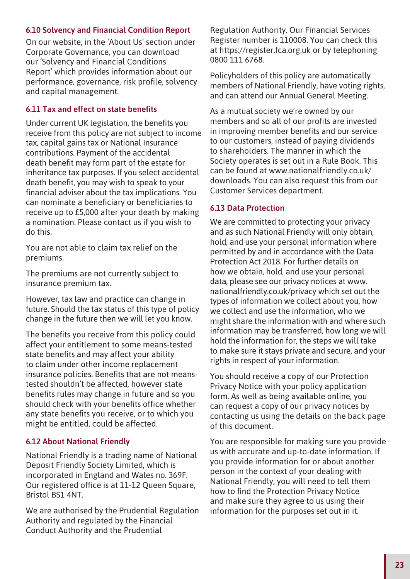# 6.10 Solvency and Financial Condition Report

On our website, in the 'About Us' section under Corporate Governance, you can download our 'Solvency and Financial Conditions Report' which provides information about our performance, governance, risk profile, solvency and capital management.

#### 6.11 Tax and effect on state benefits

Under current UK legislation, the benefits you receive from this policy are not subject to income tax, capital gains tax or National Insurance contributions. Payment of the accidental death benefit may form part of the estate for inheritance tax purposes. If you select accidental death benefit, you may wish to speak to your financial adviser about the tax implications. You can nominate a beneficiary or beneficiaries to receive up to £5,000 after your death by making a nomination. Please contact us if you wish to do this.

You are not able to claim tax relief on the premiums.

The premiums are not currently subject to insurance premium tax.

However, tax law and practice can change in future. Should the tax status of this type of policy change in the future then we will let you know.

The benefits you receive from this policy could affect your entitlement to some means-tested state benefits and may affect your ability to claim under other income replacement insurance policies. Benefits that are not meanstested shouldn't be affected, however state benefits rules may change in future and so you should check with your benefits office whether any state benefits you receive, or to which you might be entitled, could be affected.

### 6.12 About National Friendly

National Friendly is a trading name of National Deposit Friendly Society Limited, which is incorporated in England and Wales no. 369F. Our registered office is at 11-12 Queen Square, Bristol BS1 4NT.

We are authorised by the Prudential Regulation Authority and regulated by the Financial Conduct Authority and the Prudential

Regulation Authority. Our Financial Services Register number is 110008. You can check this at https://register.fca.org.uk or by telephoning 0800 111 6768.

Policyholders of this policy are automatically members of National Friendly, have voting rights, and can attend our Annual General Meeting.

As a mutual society we're owned by our members and so all of our profits are invested in improving member benefits and our service to our customers, instead of paying dividends to shareholders. The manner in which the Society operates is set out in a Rule Book. This can be found at www.nationalfriendly.co.uk/ downloads. You can also request this from our Customer Services department.

#### 6.13 Data Protection

We are committed to protecting your privacy and as such National Friendly will only obtain, hold, and use your personal information where permitted by and in accordance with the Data Protection Act 2018. For further details on how we obtain, hold, and use your personal data, please see our privacy notices at www. nationalfriendly.co.uk/privacy which set out the types of information we collect about you, how we collect and use the information, who we might share the information with and where such information may be transferred, how long we will hold the information for, the steps we will take to make sure it stays private and secure, and your rights in respect of your information.

You should receive a copy of our Protection Privacy Notice with your policy application form. As well as being available online, you can request a copy of our privacy notices by contacting us using the details on the back page of this document.

You are responsible for making sure you provide us with accurate and up-to-date information. If you provide information for or about another person in the context of your dealing with National Friendly, you will need to tell them how to find the Protection Privacy Notice and make sure they agree to us using their information for the purposes set out in it.